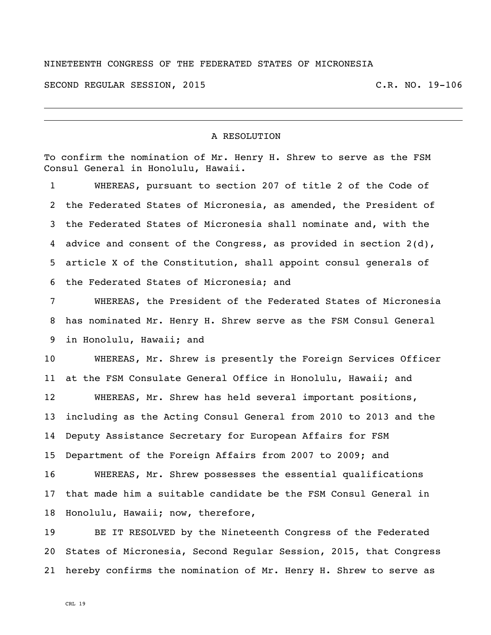## NINETEENTH CONGRESS OF THE FEDERATED STATES OF MICRONESIA

SECOND REGULAR SESSION, 2015 C.R. NO. 19-106

## A RESOLUTION

To confirm the nomination of Mr. Henry H. Shrew to serve as the FSM Consul General in Honolulu, Hawaii.

 WHEREAS, pursuant to section 207 of title 2 of the Code of the Federated States of Micronesia, as amended, the President of the Federated States of Micronesia shall nominate and, with the advice and consent of the Congress, as provided in section 2(d), article X of the Constitution, shall appoint consul generals of the Federated States of Micronesia; and

 WHEREAS, the President of the Federated States of Micronesia has nominated Mr. Henry H. Shrew serve as the FSM Consul General in Honolulu, Hawaii; and

 WHEREAS, Mr. Shrew is presently the Foreign Services Officer at the FSM Consulate General Office in Honolulu, Hawaii; and

 WHEREAS, Mr. Shrew has held several important positions, including as the Acting Consul General from 2010 to 2013 and the Deputy Assistance Secretary for European Affairs for FSM Department of the Foreign Affairs from 2007 to 2009; and

 WHEREAS, Mr. Shrew possesses the essential qualifications that made him a suitable candidate be the FSM Consul General in Honolulu, Hawaii; now, therefore,

 BE IT RESOLVED by the Nineteenth Congress of the Federated States of Micronesia, Second Regular Session, 2015, that Congress hereby confirms the nomination of Mr. Henry H. Shrew to serve as

CRL 19